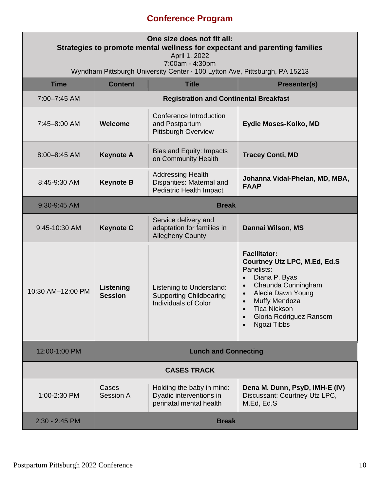## **Conference Program**

| One size does not fit all:<br>Strategies to promote mental wellness for expectant and parenting families<br>April 1, 2022 |                                               |                                                                                           |                                                                                                                                                                                                                                                                                        |  |  |
|---------------------------------------------------------------------------------------------------------------------------|-----------------------------------------------|-------------------------------------------------------------------------------------------|----------------------------------------------------------------------------------------------------------------------------------------------------------------------------------------------------------------------------------------------------------------------------------------|--|--|
| 7:00am - 4:30pm<br>Wyndham Pittsburgh University Center · 100 Lytton Ave, Pittsburgh, PA 15213                            |                                               |                                                                                           |                                                                                                                                                                                                                                                                                        |  |  |
| <b>Time</b>                                                                                                               | <b>Content</b>                                | <b>Title</b>                                                                              | <b>Presenter(s)</b>                                                                                                                                                                                                                                                                    |  |  |
| 7:00-7:45 AM                                                                                                              | <b>Registration and Continental Breakfast</b> |                                                                                           |                                                                                                                                                                                                                                                                                        |  |  |
| 7:45-8:00 AM                                                                                                              | <b>Welcome</b>                                | Conference Introduction<br>and Postpartum<br><b>Pittsburgh Overview</b>                   | Eydie Moses-Kolko, MD                                                                                                                                                                                                                                                                  |  |  |
| 8:00-8:45 AM                                                                                                              | <b>Keynote A</b>                              | Bias and Equity: Impacts<br>on Community Health                                           | <b>Tracey Conti, MD</b>                                                                                                                                                                                                                                                                |  |  |
| 8:45-9:30 AM                                                                                                              | <b>Keynote B</b>                              | <b>Addressing Health</b><br>Disparities: Maternal and<br><b>Pediatric Health Impact</b>   | Johanna Vidal-Phelan, MD, MBA,<br><b>FAAP</b>                                                                                                                                                                                                                                          |  |  |
| 9:30-9:45 AM                                                                                                              | <b>Break</b>                                  |                                                                                           |                                                                                                                                                                                                                                                                                        |  |  |
| 9:45-10:30 AM                                                                                                             | <b>Keynote C</b>                              | Service delivery and<br>adaptation for families in<br><b>Allegheny County</b>             | Dannai Wilson, MS                                                                                                                                                                                                                                                                      |  |  |
| 10:30 AM-12:00 PM                                                                                                         | Listening<br><b>Session</b>                   | Listening to Understand:<br><b>Supporting Childbearing</b><br><b>Individuals of Color</b> | <b>Facilitator:</b><br>Courtney Utz LPC, M.Ed, Ed.S<br>Panelists:<br>Diana P. Byas<br>$\bullet$<br>Chaunda Cunningham<br>$\bullet$<br>Alecia Dawn Young<br>$\bullet$<br>Muffy Mendoza<br>$\bullet$<br>Tica Nickson<br>$\bullet$<br>Gloria Rodriguez Ransom<br>Ngozi Tibbs<br>$\bullet$ |  |  |
| 12:00-1:00 PM                                                                                                             | <b>Lunch and Connecting</b>                   |                                                                                           |                                                                                                                                                                                                                                                                                        |  |  |
| <b>CASES TRACK</b>                                                                                                        |                                               |                                                                                           |                                                                                                                                                                                                                                                                                        |  |  |
| 1:00-2:30 PM                                                                                                              | Cases<br>Session A                            | Holding the baby in mind:<br>Dyadic interventions in<br>perinatal mental health           | Dena M. Dunn, PsyD, IMH-E (IV)<br>Discussant: Courtney Utz LPC,<br>M.Ed, Ed.S                                                                                                                                                                                                          |  |  |
| 2:30 - 2:45 PM                                                                                                            | <b>Break</b>                                  |                                                                                           |                                                                                                                                                                                                                                                                                        |  |  |